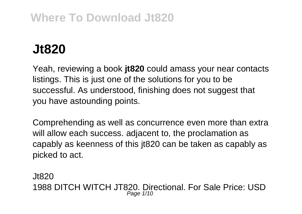## **Where To Download Jt820**

## **Jt820**

Yeah, reviewing a book **jt820** could amass your near contacts listings. This is just one of the solutions for you to be successful. As understood, finishing does not suggest that you have astounding points.

Comprehending as well as concurrence even more than extra will allow each success, adjacent to, the proclamation as capably as keenness of this jt820 can be taken as capably as picked to act.

Jt820 1988 DITCH WITCH JT820. Directional. For Sale Price: USD Page  $1/10$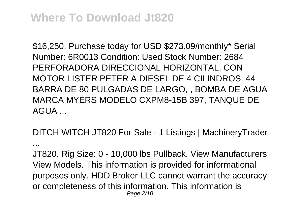## **Where To Download Jt820**

\$16,250. Purchase today for USD \$273.09/monthly\* Serial Number: 6R0013 Condition: Used Stock Number: 2684 PERFORADORA DIRECCIONAL HORIZONTAL, CON MOTOR LISTER PETER A DIESEL DE 4 CILINDROS, 44 BARRA DE 80 PULGADAS DE LARGO, , BOMBA DE AGUA MARCA MYERS MODELO CXPM8-15B 397, TANQUE DE AGUA ...

DITCH WITCH JT820 For Sale - 1 Listings | MachineryTrader ...

JT820. Rig Size: 0 - 10,000 lbs Pullback. View Manufacturers View Models. This information is provided for informational purposes only. HDD Broker LLC cannot warrant the accuracy or completeness of this information. This information is Page 2/10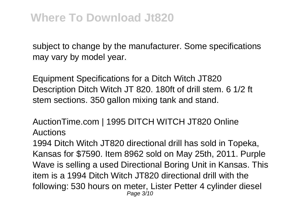subject to change by the manufacturer. Some specifications may vary by model year.

Equipment Specifications for a Ditch Witch JT820 Description Ditch Witch JT 820. 180ft of drill stem. 6 1/2 ft stem sections. 350 gallon mixing tank and stand.

AuctionTime.com | 1995 DITCH WITCH JT820 Online Auctions

1994 Ditch Witch JT820 directional drill has sold in Topeka, Kansas for \$7590. Item 8962 sold on May 25th, 2011. Purple Wave is selling a used Directional Boring Unit in Kansas. This item is a 1994 Ditch Witch JT820 directional drill with the following: 530 hours on meter, Lister Petter 4 cylinder diesel Page 3/10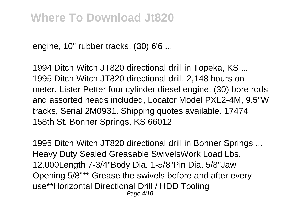engine, 10" rubber tracks, (30) 6'6 ...

1994 Ditch Witch JT820 directional drill in Topeka, KS ... 1995 Ditch Witch JT820 directional drill. 2,148 hours on meter, Lister Petter four cylinder diesel engine, (30) bore rods and assorted heads included, Locator Model PXL2-4M, 9.5"W tracks, Serial 2M0931. Shipping quotes available. 17474 158th St. Bonner Springs, KS 66012

1995 Ditch Witch JT820 directional drill in Bonner Springs ... Heavy Duty Sealed Greasable SwivelsWork Load Lbs. 12,000Length 7-3/4"Body Dia. 1-5/8"Pin Dia. 5/8"Jaw Opening 5/8"\*\* Grease the swivels before and after every use\*\*Horizontal Directional Drill / HDD Tooling Page 4/10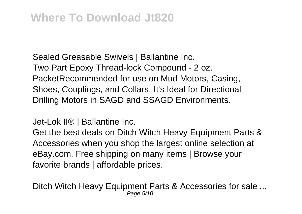Sealed Greasable Swivels | Ballantine Inc. Two Part Epoxy Thread-lock Compound - 2 oz. PacketRecommended for use on Mud Motors, Casing, Shoes, Couplings, and Collars. It's Ideal for Directional Drilling Motors in SAGD and SSAGD Environments.

Jet-Lok II® | Ballantine Inc.

Get the best deals on Ditch Witch Heavy Equipment Parts & Accessories when you shop the largest online selection at eBay.com. Free shipping on many items | Browse your favorite brands | affordable prices.

Ditch Witch Heavy Equipment Parts & Accessories for sale ... Page 5/10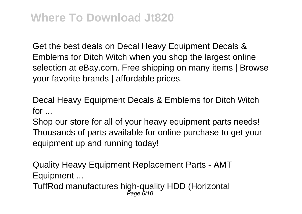Get the best deals on Decal Heavy Equipment Decals & Emblems for Ditch Witch when you shop the largest online selection at eBay.com. Free shipping on many items I Browse your favorite brands | affordable prices.

Decal Heavy Equipment Decals & Emblems for Ditch Witch  $for$ 

Shop our store for all of your heavy equipment parts needs! Thousands of parts available for online purchase to get your equipment up and running today!

Quality Heavy Equipment Replacement Parts - AMT Equipment ...

TuffRod manufactures high-quality HDD (Horizontal<br>Page 6/10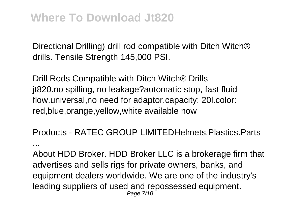Directional Drilling) drill rod compatible with Ditch Witch® drills. Tensile Strength 145,000 PSI.

Drill Rods Compatible with Ditch Witch® Drills jt820.no spilling, no leakage?automatic stop, fast fluid flow.universal,no need for adaptor.capacity: 20l.color: red,blue,orange,yellow,white available now

Products - RATEC GROUP LIMITEDHelmets.Plastics.Parts ...

About HDD Broker. HDD Broker LLC is a brokerage firm that advertises and sells rigs for private owners, banks, and equipment dealers worldwide. We are one of the industry's leading suppliers of used and repossessed equipment. Page 7/10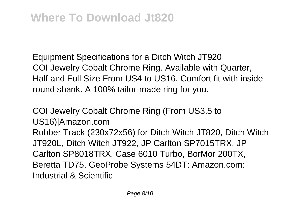Equipment Specifications for a Ditch Witch JT920 COI Jewelry Cobalt Chrome Ring. Available with Quarter, Half and Full Size From US4 to US16. Comfort fit with inside round shank. A 100% tailor-made ring for you.

COI Jewelry Cobalt Chrome Ring (From US3.5 to US16)|Amazon.com Rubber Track (230x72x56) for Ditch Witch JT820, Ditch Witch JT920L, Ditch Witch JT922, JP Carlton SP7015TRX, JP Carlton SP8018TRX, Case 6010 Turbo, BorMor 200TX, Beretta TD75, GeoProbe Systems 54DT: Amazon.com: Industrial & Scientific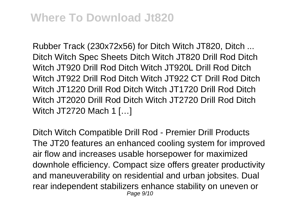Rubber Track (230x72x56) for Ditch Witch JT820, Ditch ... Ditch Witch Spec Sheets Ditch Witch JT820 Drill Rod Ditch Witch JT920 Drill Rod Ditch Witch JT920L Drill Rod Ditch Witch JT922 Drill Rod Ditch Witch JT922 CT Drill Rod Ditch Witch JT1220 Drill Rod Ditch Witch JT1720 Drill Rod Ditch Witch JT2020 Drill Rod Ditch Witch JT2720 Drill Rod Ditch Witch JT2720 Mach 1 […]

Ditch Witch Compatible Drill Rod - Premier Drill Products The JT20 features an enhanced cooling system for improved air flow and increases usable horsepower for maximized downhole efficiency. Compact size offers greater productivity and maneuverability on residential and urban jobsites. Dual rear independent stabilizers enhance stability on uneven or Page 9/10